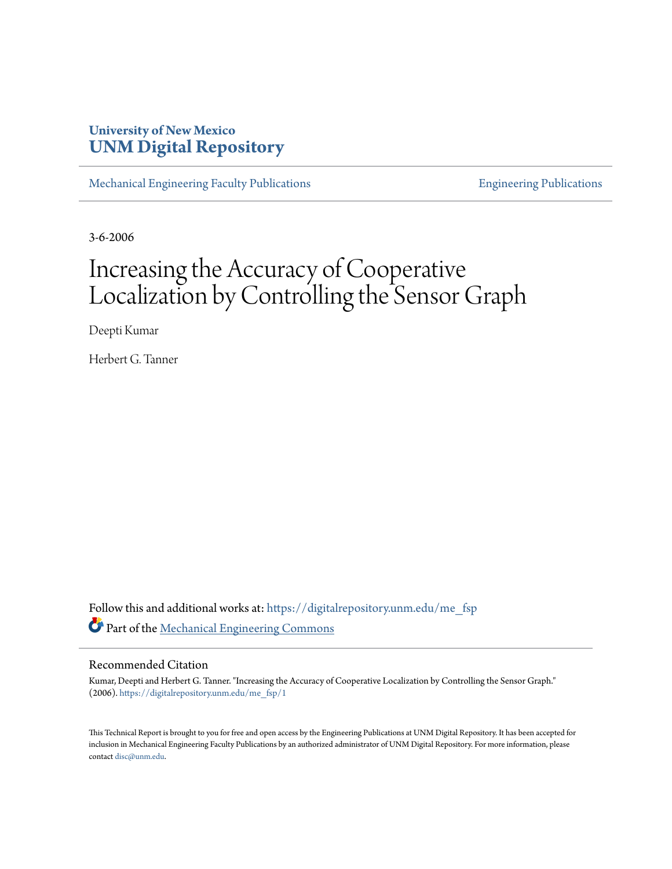### **University of New Mexico [UNM Digital Repository](https://digitalrepository.unm.edu?utm_source=digitalrepository.unm.edu%2Fme_fsp%2F1&utm_medium=PDF&utm_campaign=PDFCoverPages)**

[Mechanical Engineering Faculty Publications](https://digitalrepository.unm.edu/me_fsp?utm_source=digitalrepository.unm.edu%2Fme_fsp%2F1&utm_medium=PDF&utm_campaign=PDFCoverPages) **[Engineering Publications](https://digitalrepository.unm.edu/eng_fsp?utm_source=digitalrepository.unm.edu%2Fme_fsp%2F1&utm_medium=PDF&utm_campaign=PDFCoverPages)** Engineering Publications

3-6-2006

## Increasing the Accuracy of Cooperative Localization by Controlling the Sensor Graph

Deepti Kumar

Herbert G. Tanner

Follow this and additional works at: [https://digitalrepository.unm.edu/me\\_fsp](https://digitalrepository.unm.edu/me_fsp?utm_source=digitalrepository.unm.edu%2Fme_fsp%2F1&utm_medium=PDF&utm_campaign=PDFCoverPages) Part of the [Mechanical Engineering Commons](http://network.bepress.com/hgg/discipline/293?utm_source=digitalrepository.unm.edu%2Fme_fsp%2F1&utm_medium=PDF&utm_campaign=PDFCoverPages)

### Recommended Citation

Kumar, Deepti and Herbert G. Tanner. "Increasing the Accuracy of Cooperative Localization by Controlling the Sensor Graph." (2006). [https://digitalrepository.unm.edu/me\\_fsp/1](https://digitalrepository.unm.edu/me_fsp/1?utm_source=digitalrepository.unm.edu%2Fme_fsp%2F1&utm_medium=PDF&utm_campaign=PDFCoverPages)

This Technical Report is brought to you for free and open access by the Engineering Publications at UNM Digital Repository. It has been accepted for inclusion in Mechanical Engineering Faculty Publications by an authorized administrator of UNM Digital Repository. For more information, please contact [disc@unm.edu.](mailto:disc@unm.edu)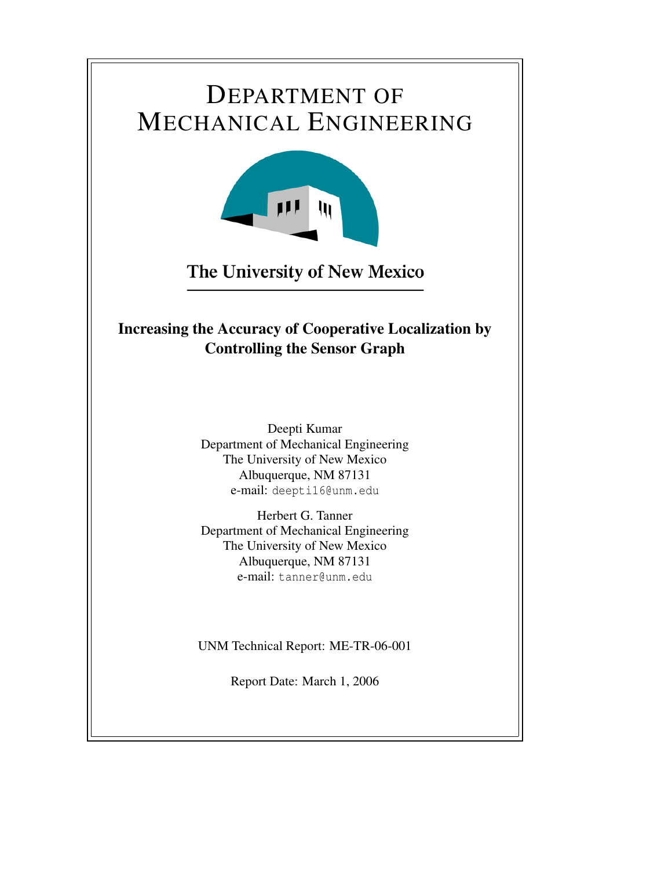## DEPARTMENT OF MECHANICAL ENGINEERING



The University of New Mexico

## Increasing the Accuracy of Cooperative Localization by Controlling the Sensor Graph

Deepti Kumar Department of Mechanical Engineering The University of New Mexico Albuquerque, NM 87131 e-mail: deepti16@unm.edu

Herbert G. Tanner Department of Mechanical Engineering The University of New Mexico Albuquerque, NM 87131 e-mail: tanner@unm.edu

UNM Technical Report: ME-TR-06-001

Report Date: March 1, 2006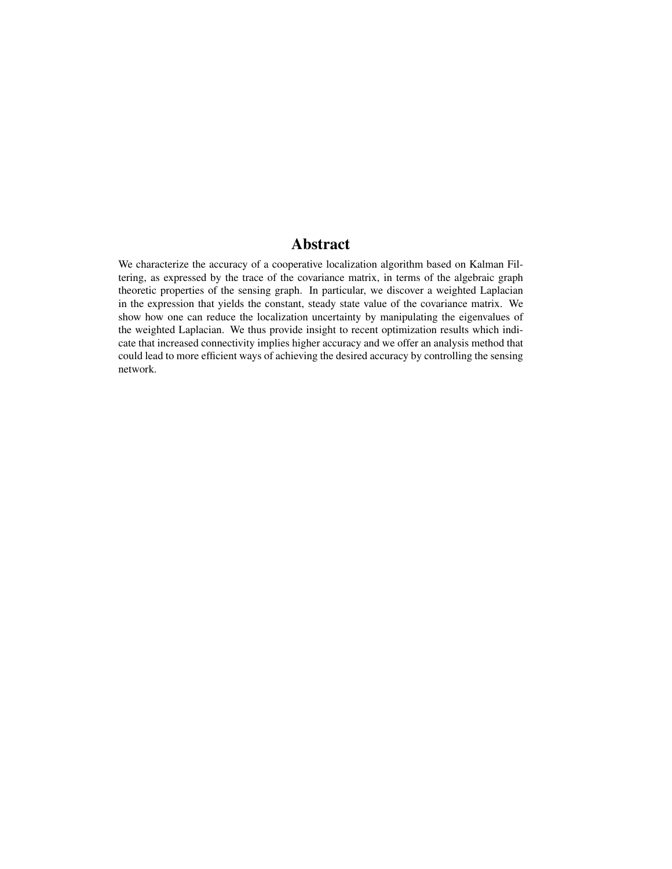### Abstract

We characterize the accuracy of a cooperative localization algorithm based on Kalman Filtering, as expressed by the trace of the covariance matrix, in terms of the algebraic graph theoretic properties of the sensing graph. In particular, we discover a weighted Laplacian in the expression that yields the constant, steady state value of the covariance matrix. We show how one can reduce the localization uncertainty by manipulating the eigenvalues of the weighted Laplacian. We thus provide insight to recent optimization results which indicate that increased connectivity implies higher accuracy and we offer an analysis method that could lead to more efficient ways of achieving the desired accuracy by controlling the sensing network.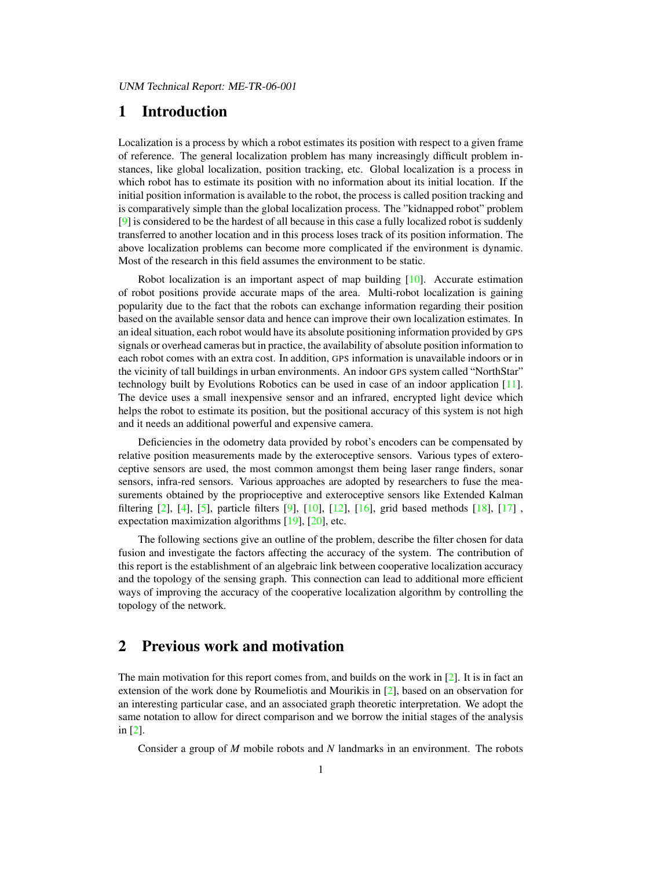### 1 Introduction

Localization is a process by which a robot estimates its position with respect to a given frame of reference. The general localization problem has many increasingly difficult problem instances, like global localization, position tracking, etc. Global localization is a process in which robot has to estimate its position with no information about its initial location. If the initial position information is available to the robot, the process is called position tracking and is comparatively simple than the global localization process. The "kidnapped robot" problem [\[9\]](#page-14-0) is considered to be the hardest of all because in this case a fully localized robot is suddenly transferred to another location and in this process loses track of its position information. The above localization problems can become more complicated if the environment is dynamic. Most of the research in this field assumes the environment to be static.

Robot localization is an important aspect of map building [\[10\]](#page-14-1). Accurate estimation of robot positions provide accurate maps of the area. Multi-robot localization is gaining popularity due to the fact that the robots can exchange information regarding their position based on the available sensor data and hence can improve their own localization estimates. In an ideal situation, each robot would have its absolute positioning information provided by GPS signals or overhead cameras but in practice, the availability of absolute position information to each robot comes with an extra cost. In addition, GPS information is unavailable indoors or in the vicinity of tall buildings in urban environments. An indoor GPS system called "NorthStar" technology built by Evolutions Robotics can be used in case of an indoor application [\[11\]](#page-14-2). The device uses a small inexpensive sensor and an infrared, encrypted light device which helps the robot to estimate its position, but the positional accuracy of this system is not high and it needs an additional powerful and expensive camera.

Deficiencies in the odometry data provided by robot's encoders can be compensated by relative position measurements made by the exteroceptive sensors. Various types of exteroceptive sensors are used, the most common amongst them being laser range finders, sonar sensors, infra-red sensors. Various approaches are adopted by researchers to fuse the measurements obtained by the proprioceptive and exteroceptive sensors like Extended Kalman filtering [\[2\]](#page-14-3), [\[4\]](#page-14-4), [\[5\]](#page-14-5), particle filters [\[9\]](#page-14-0), [\[10\]](#page-14-1), [\[12\]](#page-14-6), [\[16\]](#page-14-7), grid based methods [\[18\]](#page-14-8), [\[17\]](#page-14-9) , expectation maximization algorithms [\[19\]](#page-14-10), [\[20\]](#page-14-11), etc.

The following sections give an outline of the problem, describe the filter chosen for data fusion and investigate the factors affecting the accuracy of the system. The contribution of this report is the establishment of an algebraic link between cooperative localization accuracy and the topology of the sensing graph. This connection can lead to additional more efficient ways of improving the accuracy of the cooperative localization algorithm by controlling the topology of the network.

### 2 Previous work and motivation

The main motivation for this report comes from, and builds on the work in  $[2]$ . It is in fact an extension of the work done by Roumeliotis and Mourikis in [\[2\]](#page-14-3), based on an observation for an interesting particular case, and an associated graph theoretic interpretation. We adopt the same notation to allow for direct comparison and we borrow the initial stages of the analysis in [\[2\]](#page-14-3).

Consider a group of *M* mobile robots and *N* landmarks in an environment. The robots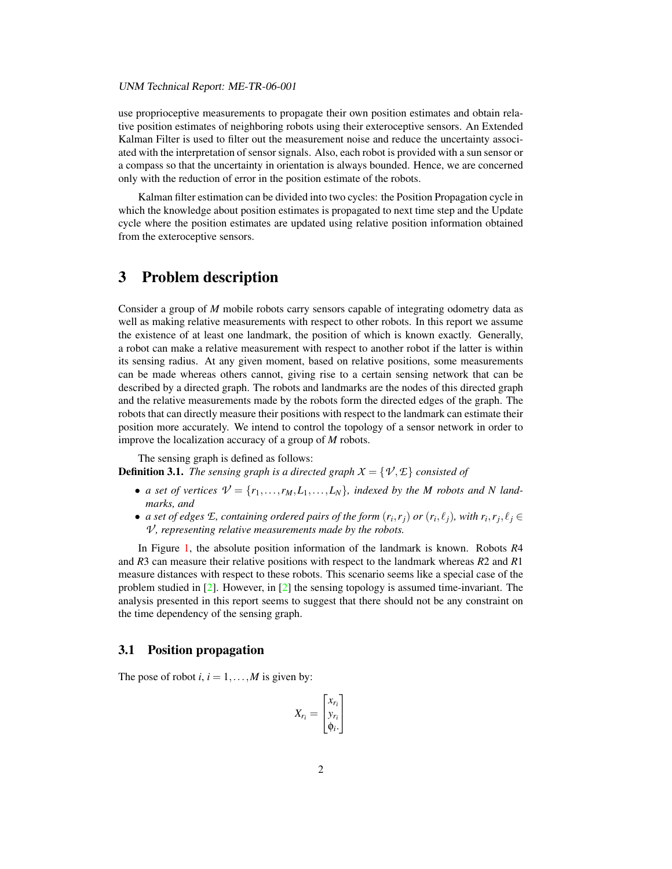use proprioceptive measurements to propagate their own position estimates and obtain relative position estimates of neighboring robots using their exteroceptive sensors. An Extended Kalman Filter is used to filter out the measurement noise and reduce the uncertainty associated with the interpretation of sensor signals. Also, each robot is provided with a sun sensor or a compass so that the uncertainty in orientation is always bounded. Hence, we are concerned only with the reduction of error in the position estimate of the robots.

Kalman filter estimation can be divided into two cycles: the Position Propagation cycle in which the knowledge about position estimates is propagated to next time step and the Update cycle where the position estimates are updated using relative position information obtained from the exteroceptive sensors.

### 3 Problem description

Consider a group of *M* mobile robots carry sensors capable of integrating odometry data as well as making relative measurements with respect to other robots. In this report we assume the existence of at least one landmark, the position of which is known exactly. Generally, a robot can make a relative measurement with respect to another robot if the latter is within its sensing radius. At any given moment, based on relative positions, some measurements can be made whereas others cannot, giving rise to a certain sensing network that can be described by a directed graph. The robots and landmarks are the nodes of this directed graph and the relative measurements made by the robots form the directed edges of the graph. The robots that can directly measure their positions with respect to the landmark can estimate their position more accurately. We intend to control the topology of a sensor network in order to improve the localization accuracy of a group of *M* robots.

The sensing graph is defined as follows:

<span id="page-4-0"></span>**Definition 3.1.** *The sensing graph is a directed graph*  $X = \{ \mathcal{V}, \mathcal{E} \}$  *consisted of* 

- *a set of vertices*  $V = \{r_1, \ldots, r_M, L_1, \ldots, L_N\}$ , *indexed by the M robots and N landmarks, and*
- *a set of edges*  $E$ , containing ordered pairs of the form  $(r_i, r_j)$  or  $(r_i, \ell_j)$ , with  $r_i, r_j, \ell_j \in$ *V*, representing relative measurements made by the robots.

In Figure [1,](#page-5-0) the absolute position information of the landmark is known. Robots *R*4 and *R*3 can measure their relative positions with respect to the landmark whereas *R*2 and *R*1 measure distances with respect to these robots. This scenario seems like a special case of the problem studied in  $[2]$ . However, in  $[2]$  the sensing topology is assumed time-invariant. The analysis presented in this report seems to suggest that there should not be any constraint on the time dependency of the sensing graph.

#### 3.1 Position propagation

The pose of robot *i*,  $i = 1, ..., M$  is given by:

$$
X_{r_i} = \begin{bmatrix} x_{r_i} \\ y_{r_i} \\ \phi_i \end{bmatrix}
$$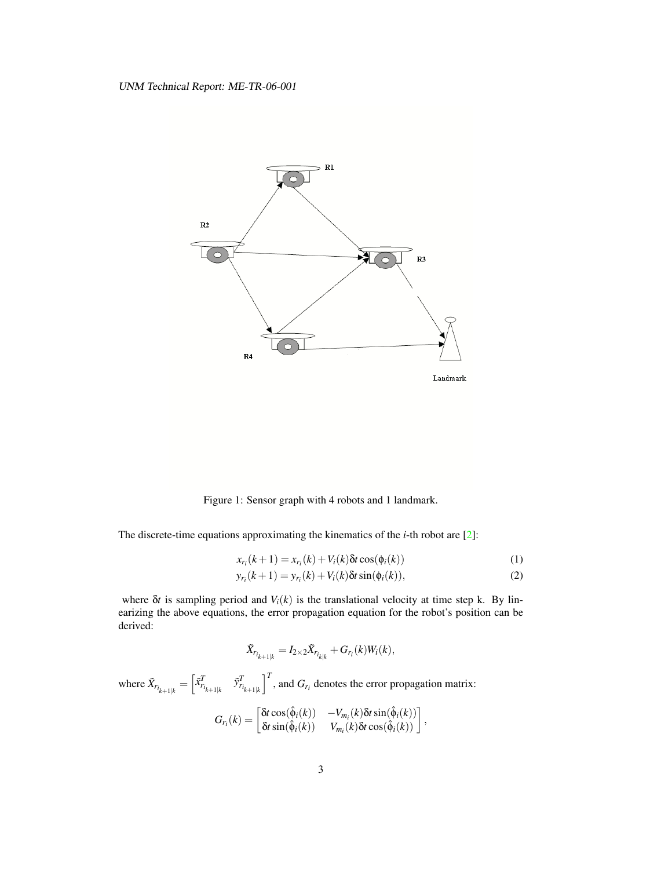<span id="page-5-1"></span>

<span id="page-5-0"></span>Figure 1: Sensor graph with 4 robots and 1 landmark.

The discrete-time equations approximating the kinematics of the *i*-th robot are [\[2\]](#page-14-3):

$$
x_{r_i}(k+1) = x_{r_i}(k) + V_i(k)\delta t \cos(\phi_i(k))
$$
\n<sup>(1)</sup>

$$
y_{r_i}(k+1) = y_{r_i}(k) + V_i(k)\delta t \sin(\phi_i(k)),
$$
\n(2)

where  $\delta t$  is sampling period and  $V_i(k)$  is the translational velocity at time step k. By linearizing the above equations, the error propagation equation for the robot's position can be derived:

$$
\tilde{X}_{r_{i_{k+1|k}}} = I_{2 \times 2} \tilde{X}_{r_{i_{k|k}}} + G_{r_i}(k) W_i(k),
$$

where  $\tilde{X}_{r_{i_{k+1|k}}} = \begin{bmatrix} \tilde{X}_{r_{i_{k+1|k}}}^T & \tilde{Y}_{r_{i_{k+1|k}}}^T \end{bmatrix}^T$ , and  $G_{r_i}$  denotes the error propagation matrix:  $G_r(k) = \begin{bmatrix} \delta t \cos(\hat{\phi}_i(k)) & -V_{m_i}(k) \delta t \sin(\hat{\phi}_i(k)) \\ \delta t \sin(\hat{\phi}_i(k)) & V_{\ell}(k) \delta t \cos(\hat{\phi}_i(k)) \end{bmatrix}$  $\begin{bmatrix} \delta t \cos(\hat{\phi}_i(k)) & -V_{m_i}(k) \delta t \sin(\hat{\phi}_i(k)) \ \delta t \sin(\hat{\phi}_i(k)) & V_{m_i}(k) \delta t \cos(\hat{\phi}_i(k)) \end{bmatrix},$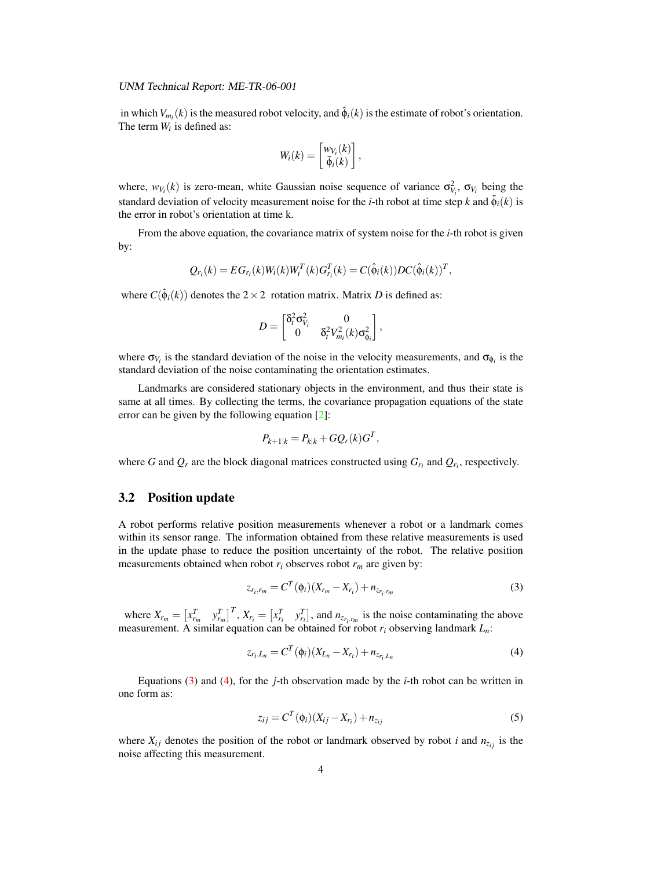<span id="page-6-2"></span>in which  $V_{m_i}(k)$  is the measured robot velocity, and  $\hat{\phi}_i(k)$  is the estimate of robot's orientation. The term  $W_i$  is defined as:

$$
W_i(k) = \begin{bmatrix} w_{V_i}(k) \\ \tilde{\phi}_i(k) \end{bmatrix},
$$

where,  $w_{V_i}(k)$  is zero-mean, white Gaussian noise sequence of variance  $\sigma_{V_i}^2$ ,  $\sigma_{V_i}$  being the standard deviation of velocity measurement noise for the *i*-th robot at time step *k* and  $\tilde{\phi}_i(k)$  is the error in robot's orientation at time k.

From the above equation, the covariance matrix of system noise for the *i*-th robot is given by:

$$
Q_{r_i}(k) = EG_{r_i}(k)W_i(k)W_i^T(k)G_{r_i}^T(k) = C(\hat{\phi}_i(k))DC(\hat{\phi}_i(k))^T,
$$

where  $C(\hat{\phi}_i(k))$  denotes the  $2 \times 2$  rotation matrix. Matrix *D* is defined as:

$$
D = \begin{bmatrix} \delta_t^2 \sigma_{V_i}^2 & 0 \\ 0 & \delta_t^2 V_{m_i}^2(k) \sigma_{\phi_i}^2 \end{bmatrix},
$$

where  $\sigma_{V_i}$  is the standard deviation of the noise in the velocity measurements, and  $\sigma_{\phi_i}$  is the standard deviation of the noise contaminating the orientation estimates.

Landmarks are considered stationary objects in the environment, and thus their state is same at all times. By collecting the terms, the covariance propagation equations of the state error can be given by the following equation [\[2\]](#page-14-3):

$$
P_{k+1|k} = P_{k|k} + GQ_r(k)G^T,
$$

where *G* and  $Q_r$  are the block diagonal matrices constructed using  $G_{r_i}$  and  $Q_{r_i}$ , respectively.

#### 3.2 Position update

A robot performs relative position measurements whenever a robot or a landmark comes within its sensor range. The information obtained from these relative measurements is used in the update phase to reduce the position uncertainty of the robot. The relative position measurements obtained when robot  $r_i$  observes robot  $r_m$  are given by:

<span id="page-6-0"></span>
$$
z_{r_i,r_m} = C^T(\phi_i)(X_{r_m} - X_{r_i}) + n_{z_{r_i,r_m}}
$$
\n(3)

where  $X_{r_m} = \begin{bmatrix} x_{r_m}^T & y_{r_m}^T \end{bmatrix}^T$ ,  $X_{r_i} = \begin{bmatrix} x_{r_i}^T & y_{r_i}^T \end{bmatrix}$ , and  $n_{z_{r_i}, r_m}$  is the noise contaminating the above measurement. A similar equation can be obtained for robot *r<sup>i</sup>* observing landmark *Ln*:

<span id="page-6-1"></span>
$$
z_{r_i,L_n} = C^T(\phi_i)(X_{L_n} - X_{r_i}) + n_{z_{r_i,L_n}}
$$
\n(4)

Equations [\(3\)](#page-6-0) and [\(4\)](#page-6-1), for the *j*-th observation made by the *i*-th robot can be written in one form as:

$$
z_{ij} = C^T(\phi_i)(X_{ij} - X_{r_i}) + n_{z_{ij}} \tag{5}
$$

where  $X_{ij}$  denotes the position of the robot or landmark observed by robot *i* and  $n_{z_{ij}}$  is the noise affecting this measurement.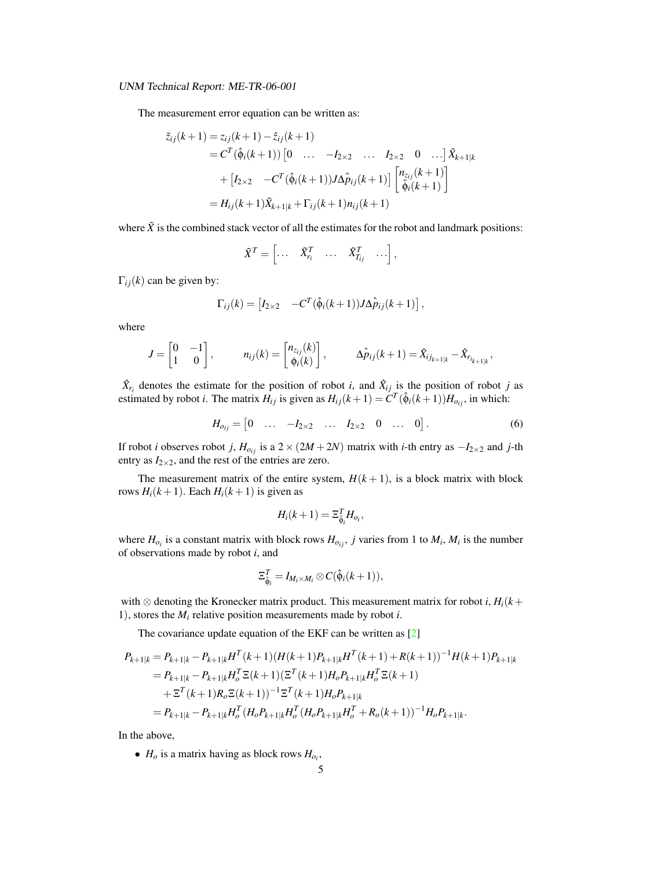<span id="page-7-1"></span>The measurement error equation can be written as:

$$
\tilde{z}_{ij}(k+1) = z_{ij}(k+1) - \hat{z}_{ij}(k+1) \n= C^{T}(\hat{\phi}_{i}(k+1)) [0 \dots -I_{2\times 2} \dots I_{2\times 2} 0 \dots] \tilde{X}_{k+1|k} \n+ [I_{2\times 2} -C^{T}(\hat{\phi}_{i}(k+1))J\Delta \hat{p}_{ij}(k+1)] \left[ \begin{matrix} n_{z_{ij}}(k+1) \\ \tilde{\phi}_{i}(k+1) \end{matrix} \right] \n= H_{ij}(k+1) \tilde{X}_{k+1|k} + \Gamma_{ij}(k+1) n_{ij}(k+1)
$$

where  $\tilde{X}$  is the combined stack vector of all the estimates for the robot and landmark positions:

$$
\tilde{X}^T = \begin{bmatrix} \dots & \tilde{X}_{r_i}^T & \dots & \tilde{X}_{T_{ij}}^T & \dots \end{bmatrix},
$$

 $\Gamma_{ij}(k)$  can be given by:

$$
\Gamma_{ij}(k) = \begin{bmatrix} I_{2\times 2} & -C^T(\hat{\phi}_i(k+1))J\Delta \hat{p}_{ij}(k+1) \end{bmatrix},
$$

where

$$
J = \begin{bmatrix} 0 & -1 \\ 1 & 0 \end{bmatrix}, \qquad n_{ij}(k) = \begin{bmatrix} n_{z_{ij}}(k) \\ \phi_i(k) \end{bmatrix}, \qquad \Delta \hat{p}_{ij}(k+1) = \hat{X}_{ij_{k+1|k}} - \hat{X}_{r_{i_{k+1|k}}},
$$

 $\hat{X}_{r_i}$  denotes the estimate for the position of robot *i*, and  $\hat{X}_{ij}$  is the position of robot *j* as estimated by robot *i*. The matrix  $H_{ij}$  is given as  $H_{ij}(k+1) = C^T(\hat{\phi}_i(k+1))H_{o_{ij}}$ , in which:

$$
H_{o_{ij}} = \begin{bmatrix} 0 & \dots & -I_{2 \times 2} & \dots & I_{2 \times 2} & 0 & \dots & 0 \end{bmatrix}.
$$
 (6)

If robot *i* observes robot *j*,  $H_{o_{ij}}$  is a 2 × (2*M* + 2*N*) matrix with *i*-th entry as  $-I_{2\times2}$  and *j*-th entry as  $I_{2\times 2}$ , and the rest of the entries are zero.

The measurement matrix of the entire system,  $H(k + 1)$ , is a block matrix with block rows  $H_i(k+1)$ . Each  $H_i(k+1)$  is given as

<span id="page-7-0"></span>
$$
H_i(k+1) = \Xi_{\hat{\phi}_i}^T H_{o_i},
$$

where  $H_{o_i}$  is a constant matrix with block rows  $H_{o_{ij}}$ , *j* varies from 1 to  $M_i$ ,  $M_i$  is the number of observations made by robot *i*, and

$$
\Xi_{\hat{\phi}_i}^T = I_{M_i \times M_i} \otimes C(\hat{\phi}_i(k+1)),
$$

with  $\otimes$  denoting the Kronecker matrix product. This measurement matrix for robot *i*,  $H_i(k+1)$ 1), stores the *M<sup>i</sup>* relative position measurements made by robot *i*.

The covariance update equation of the EKF can be written as [\[2\]](#page-14-3)

$$
P_{k+1|k} = P_{k+1|k} - P_{k+1|k}H^{T}(k+1)(H(k+1)P_{k+1|k}H^{T}(k+1) + R(k+1))^{-1}H(k+1)P_{k+1|k}
$$
  
\n
$$
= P_{k+1|k} - P_{k+1|k}H_{o}^{T}\Xi(k+1)(\Xi^{T}(k+1)H_{o}P_{k+1|k}H_{o}^{T}\Xi(k+1)
$$
  
\n
$$
+ \Xi^{T}(k+1)R_{o}\Xi(k+1))^{-1}\Xi^{T}(k+1)H_{o}P_{k+1|k}
$$
  
\n
$$
= P_{k+1|k} - P_{k+1|k}H_{o}^{T}(H_{o}P_{k+1|k}H_{o}^{T}(H_{o}P_{k+1|k}H_{o}^{T}+R_{o}(k+1))^{-1}H_{o}P_{k+1|k}.
$$

In the above,

•  $H_o$  is a matrix having as block rows  $H_{o_i}$ ,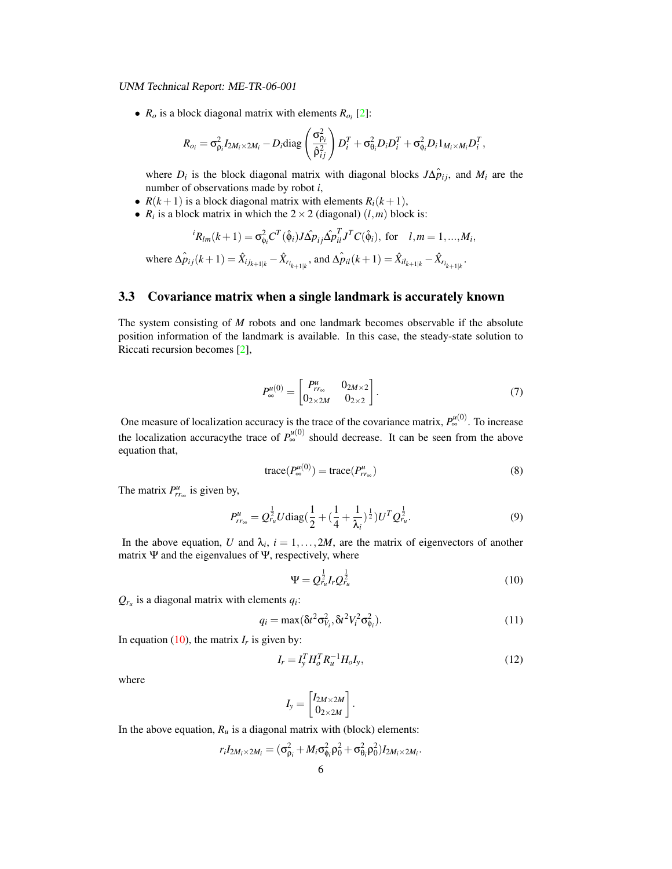<span id="page-8-3"></span>•  $R_o$  is a block diagonal matrix with elements  $R_{o_i}$  [\[2\]](#page-14-3):

$$
R_{o_i} = \sigma_{\rho_i}^2 I_{2M_i \times 2M_i} - D_i \text{diag}\left(\frac{\sigma_{\rho_i}^2}{\hat{\rho}_{ij}^2}\right) D_i^T + \sigma_{\theta_i}^2 D_i D_i^T + \sigma_{\phi_i}^2 D_i 1_{M_i \times M_i} D_i^T,
$$

where  $D_i$  is the block diagonal matrix with diagonal blocks  $J\Delta p_{ij}$ , and  $M_i$  are the number of observations made by robot *i*,

- $R(k+1)$  is a block diagonal matrix with elements  $R<sub>i</sub>(k+1)$ ,
- $R_i$  is a block matrix in which the  $2 \times 2$  (diagonal)  $(l,m)$  block is:

$$
{}^{i}R_{lm}(k+1) = \sigma_{\phi_i}^2 C^T(\hat{\phi}_i) J \hat{\Delta p}_{ij} \hat{\Delta p}_{il}^T J^T C(\hat{\phi}_i), \text{ for } l, m = 1, ..., M_i,
$$
  
where 
$$
\hat{\Delta p}_{ij}(k+1) = \hat{X}_{ij_{k+1|k}} - \hat{X}_{r_{i_{k+1|k}}}, \text{ and } \hat{\Delta p}_{il}(k+1) = \hat{X}_{il_{k+1|k}} - \hat{X}_{r_{i_{k+1|k}}}.
$$

### 3.3 Covariance matrix when a single landmark is accurately known

<span id="page-8-4"></span>The system consisting of *M* robots and one landmark becomes observable if the absolute position information of the landmark is available. In this case, the steady-state solution to Riccati recursion becomes [\[2\]](#page-14-3),

$$
P_{\infty}^{u(0)} = \begin{bmatrix} P_{rr_{\infty}}^{u} & 0_{2M \times 2} \\ 0_{2 \times 2M} & 0_{2 \times 2} \end{bmatrix} . \tag{7}
$$

<span id="page-8-2"></span>One measure of localization accuracy is the trace of the covariance matrix,  $P_{\infty}^{\mu(0)}$ . To increase the localization accuracythe trace of  $P_{\infty}^{\mu(0)}$  should decrease. It can be seen from the above equation that,

<span id="page-8-5"></span>
$$
trace(P_{\infty}^{u(0)}) = trace(P_{r_{\infty}}^{u})
$$
\n(8)

The matrix  $P_{rr_\infty}^u$  is given by,

$$
P_{rr_{\infty}}^{\mu} = Q_{r_{\mu}}^{\frac{1}{2}} U \text{diag}\left(\frac{1}{2} + \left(\frac{1}{4} + \frac{1}{\lambda_i}\right)^{\frac{1}{2}}\right) U^T Q_{r_{\mu}}^{\frac{1}{2}}.
$$
\n(9)

In the above equation, *U* and  $\lambda_i$ ,  $i = 1, \ldots, 2M$ , are the matrix of eigenvectors of another matrix  $\Psi$  and the eigenvalues of  $\Psi$ , respectively, where

<span id="page-8-0"></span>
$$
\Psi = Q_{r_u}^{\frac{1}{2}} I_r Q_{r_u}^{\frac{1}{2}} \tag{10}
$$

 $Q_{r_u}$  is a diagonal matrix with elements  $q_i$ :

$$
q_i = \max(\delta t^2 \sigma_{V_i}^2, \delta t^2 V_i^2 \sigma_{\phi_i}^2). \tag{11}
$$

In equation [\(10\)](#page-8-0), the matrix  $I_r$  is given by:

<span id="page-8-1"></span>
$$
I_r = I_y^T H_o^T R_u^{-1} H_o I_y, \tag{12}
$$

where

$$
I_{y} = \begin{bmatrix} I_{2M \times 2M} \\ 0_{2 \times 2M} \end{bmatrix}.
$$

In the above equation,  $R_u$  is a diagonal matrix with (block) elements:

$$
r_iI_{2M_i\times 2M_i}=(\sigma_{\rho_i}^2+M_i\sigma_{\phi_i}^2\rho_0^2+\sigma_{\theta_i}^2\rho_0^2)I_{2M_i\times 2M_i}.
$$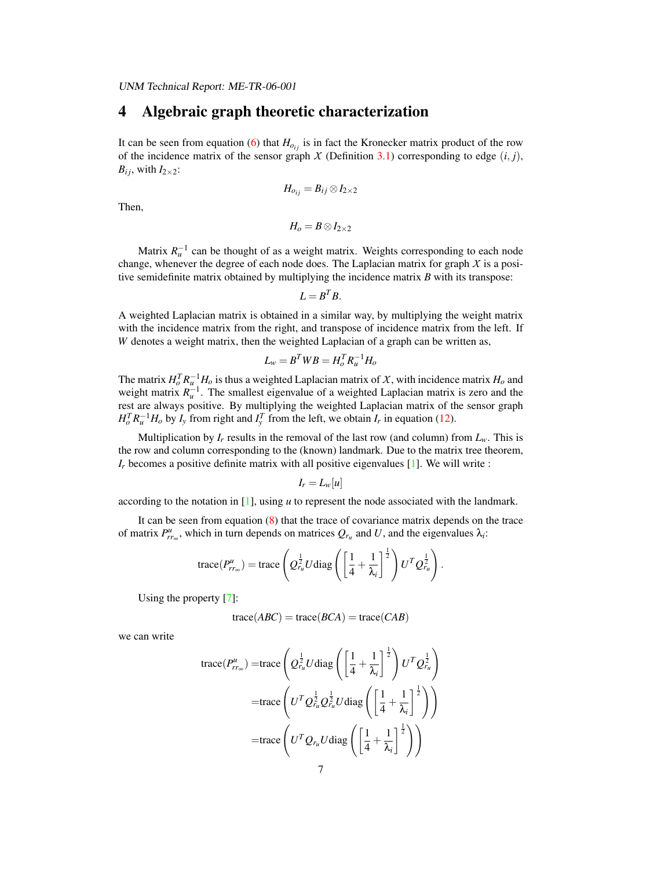### 4 Algebraic graph theoretic characterization

It can be seen from equation [\(6\)](#page-7-0) that  $H_{o_{ij}}$  is in fact the Kronecker matrix product of the row of the incidence matrix of the sensor graph  $X$  (Definition [3.1\)](#page-4-0) corresponding to edge  $(i, j)$ ,  $B_{ij}$ , with  $I_{2\times 2}$ :

$$
H_{o_{ij}}=B_{ij}\otimes I_{2\times 2}
$$

Then,

$$
H_o=B\otimes I_{2\times 2}
$$

Matrix  $R<sub>u</sub><sup>-1</sup>$  can be thought of as a weight matrix. Weights corresponding to each node change, whenever the degree of each node does. The Laplacian matrix for graph *X* is a positive semidefinite matrix obtained by multiplying the incidence matrix *B* with its transpose:

$$
L=B^TB.
$$

A weighted Laplacian matrix is obtained in a similar way, by multiplying the weight matrix with the incidence matrix from the right, and transpose of incidence matrix from the left. If *W* denotes a weight matrix, then the weighted Laplacian of a graph can be written as,

$$
L_w = B^T W B = H_o^T R_u^{-1} H_o
$$

The matrix  $H_o^T R_u^{-1} H_o$  is thus a weighted Laplacian matrix of *X*, with incidence matrix  $H_o$  and weight matrix  $R_u^{-1}$ . The smallest eigenvalue of a weighted Laplacian matrix is zero and the rest are always positive. By multiplying the weighted Laplacian matrix of the sensor graph  $H_o^T R_u^{-1} H_o$  by *I<sub>y</sub>* from right and  $I_y^T$  from the left, we obtain *I<sub>r</sub>* in equation [\(12\)](#page-8-1).

Multiplication by  $I_r$  results in the removal of the last row (and column) from  $L_w$ . This is the row and column corresponding to the (known) landmark. Due to the matrix tree theorem,  $I_r$  becomes a positive definite matrix with all positive eigenvalues  $[1]$ . We will write :

$$
I_r=L_w[u]
$$

according to the notation in [\[1\]](#page-14-12), using *u* to represent the node associated with the landmark.

It can be seen from equation [\(8\)](#page-8-2) that the trace of covariance matrix depends on the trace of matrix  $P_{rr_\infty}^u$ , which in turn depends on matrices  $Q_{r_u}$  and *U*, and the eigenvalues  $\lambda_i$ :

trace
$$
(P_{rr_\infty}^{\mu})
$$
 = trace  $\left(Q_{r_{\mu}}^{\frac{1}{2}}U \text{diag}\left(\left[\frac{1}{4} + \frac{1}{\lambda_i}\right]^{\frac{1}{2}}\right)U^T Q_{r_{\mu}}^{\frac{1}{2}}\right)$ .

Using the property [\[7\]](#page-14-13):

$$
trace(ABC) = trace(BCA) = trace(CAB)
$$

we can write

$$
\begin{aligned}\n\text{trace}(P_{rr_{\infty}}^{u}) &= \text{trace}\left(Q_{r_{u}}^{\frac{1}{2}}U\text{diag}\left(\left[\frac{1}{4}+\frac{1}{\lambda_{i}}\right]^{\frac{1}{2}}\right)U^{T}Q_{r_{u}}^{\frac{1}{2}}\right) \\
&= \text{trace}\left(U^{T}Q_{r_{u}}^{\frac{1}{2}}Q_{r_{u}}^{\frac{1}{2}}U\text{diag}\left(\left[\frac{1}{4}+\frac{1}{\lambda_{i}}\right]^{\frac{1}{2}}\right)\right) \\
&= \text{trace}\left(U^{T}Q_{r_{u}}U\text{diag}\left(\left[\frac{1}{4}+\frac{1}{\lambda_{i}}\right]^{\frac{1}{2}}\right)\right)\n\end{aligned}
$$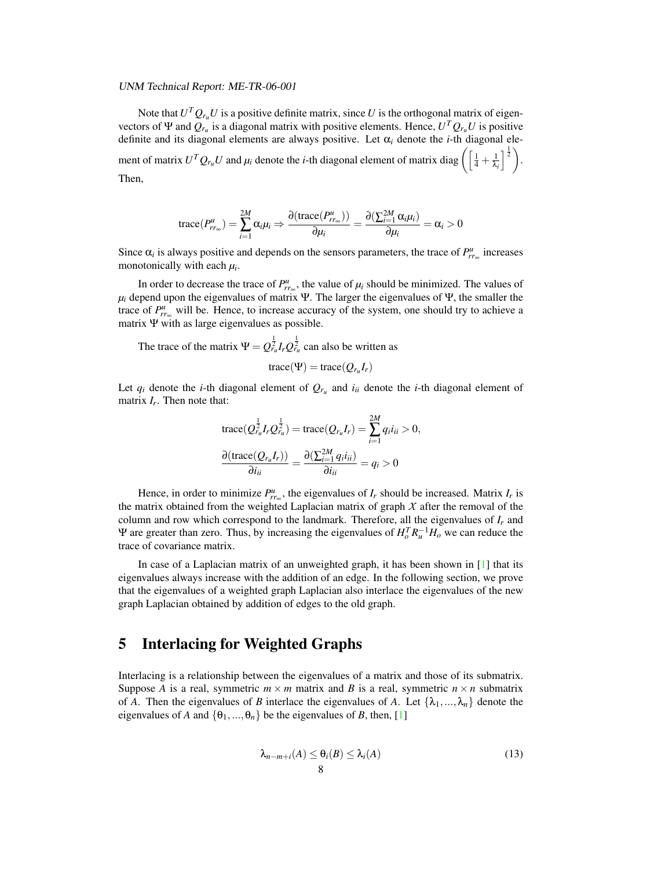Note that  $U^T Q_{r_u} U$  is a positive definite matrix, since U is the orthogonal matrix of eigenvectors of  $\Psi$  and  $Q_{r_u}$  is a diagonal matrix with positive elements. Hence,  $U^T Q_{r_u} U$  is positive definite and its diagonal elements are always positive. Let α*<sup>i</sup>* denote the *i*-th diagonal element of matrix  $U^TQ_{r_u}U$  and  $\mu_i$  denote the *i*-th diagonal element of matrix diag  $\Big(\left[\frac{1}{4} + \frac{1}{\lambda_i}\right]$  $\frac{1}{\lambda_i}\Big]^{\frac{1}{2}}\bigg).$ Then,

$$
\operatorname{trace}(P_{rr_\infty}^u) = \sum_{i=1}^{2M} \alpha_i \mu_i \Rightarrow \frac{\partial(\operatorname{trace}(P_{rr_\infty}^u))}{\partial \mu_i} = \frac{\partial(\sum_{i=1}^{2M} \alpha_i \mu_i)}{\partial \mu_i} = \alpha_i > 0
$$

Since  $\alpha_i$  is always positive and depends on the sensors parameters, the trace of  $P^u_{rr\infty}$  increases monotonically with each *µ<sup>i</sup>* .

In order to decrease the trace of  $P_{rr_\infty}^u$ , the value of  $\mu_i$  should be minimized. The values of  $\mu_i$  depend upon the eigenvalues of matrix Ψ. The larger the eigenvalues of Ψ, the smaller the trace of  $P^u_{rr_\infty}$  will be. Hence, to increase accuracy of the system, one should try to achieve a matrix  $\Psi$  with as large eigenvalues as possible.

The trace of the matrix  $\Psi = Q_{r_u}^{\frac{1}{2}} I_r Q_{r_u}^{\frac{1}{2}}$  can also be written as  $trace(\Psi) = trace(Q_{r_u}I_r)$ 

Let  $q_i$  denote the *i*-th diagonal element of  $Q_{r_u}$  and  $i_{ii}$  denote the *i*-th diagonal element of matrix *I<sup>r</sup>* . Then note that:

$$
\begin{aligned} \operatorname{trace}(Q_{r_u}^{\frac{1}{2}}I_rQ_{r_u}^{\frac{1}{2}}) &= \operatorname{trace}(Q_{r_u}I_r) = \sum_{i=1}^{2M} q_i i_{ii} > 0, \\ \frac{\partial(\operatorname{trace}(Q_{r_u}I_r))}{\partial i_{ii}} &= \frac{\partial(\sum_{i=1}^{2M} q_i i_{ii})}{\partial i_{ii}} = q_i > 0 \end{aligned}
$$

Hence, in order to minimize  $P_{rr_\infty}^u$ , the eigenvalues of  $I_r$  should be increased. Matrix  $I_r$  is the matrix obtained from the weighted Laplacian matrix of graph  $X$  after the removal of the column and row which correspond to the landmark. Therefore, all the eigenvalues of *I<sup>r</sup>* and Ψ are greater than zero. Thus, by increasing the eigenvalues of  $H_o^T R_u^{-1} H_o$  we can reduce the trace of covariance matrix.

In case of a Laplacian matrix of an unweighted graph, it has been shown in [\[1\]](#page-14-12) that its eigenvalues always increase with the addition of an edge. In the following section, we prove that the eigenvalues of a weighted graph Laplacian also interlace the eigenvalues of the new graph Laplacian obtained by addition of edges to the old graph.

### 5 Interlacing for Weighted Graphs

Interlacing is a relationship between the eigenvalues of a matrix and those of its submatrix. Suppose *A* is a real, symmetric  $m \times m$  matrix and *B* is a real, symmetric  $n \times n$  submatrix of *A*. Then the eigenvalues of *B* interlace the eigenvalues of *A*. Let  $\{\lambda_1, ..., \lambda_n\}$  denote the eigenvalues of *A* and  $\{\theta_1, ..., \theta_n\}$  be the eigenvalues of *B*, then, [\[1\]](#page-14-12)

$$
\lambda_{n-m+i}(A) \leq \theta_i(B) \leq \lambda_i(A)
$$
\n(13)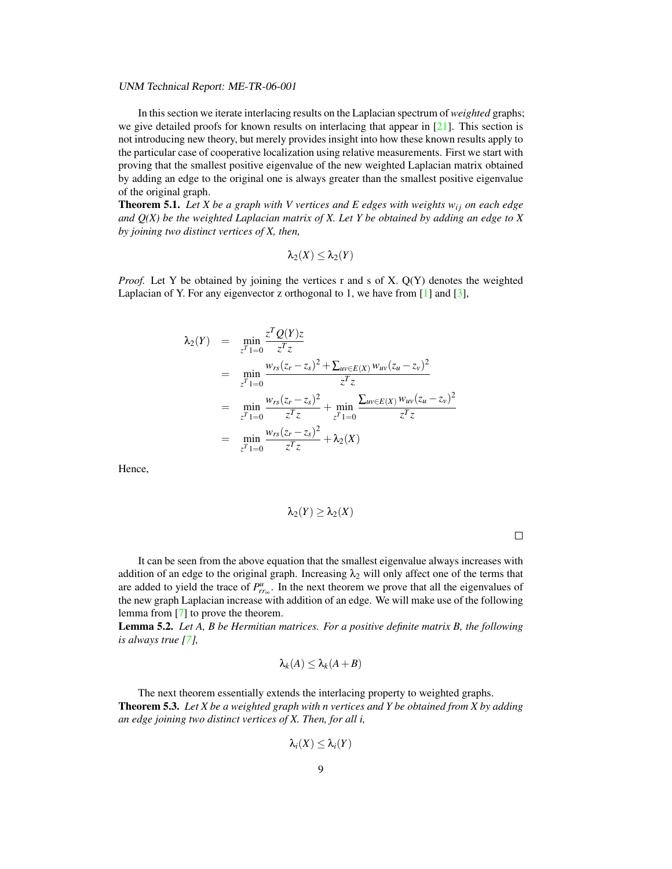In this section we iterate interlacing results on the Laplacian spectrum of *weighted* graphs; we give detailed proofs for known results on interlacing that appear in  $[21]$ . This section is not introducing new theory, but merely provides insight into how these known results apply to the particular case of cooperative localization using relative measurements. First we start with proving that the smallest positive eigenvalue of the new weighted Laplacian matrix obtained by adding an edge to the original one is always greater than the smallest positive eigenvalue of the original graph.

**Theorem 5.1.** Let X be a graph with V vertices and E edges with weights  $w_{ij}$  on each edge *and Q(X) be the weighted Laplacian matrix of X. Let Y be obtained by adding an edge to X by joining two distinct vertices of X, then,*

$$
\lambda_2(X)\leq \lambda_2(Y)
$$

*Proof.* Let Y be obtained by joining the vertices r and s of X. Q(Y) denotes the weighted Laplacian of Y. For any eigenvector z orthogonal to 1, we have from  $[1]$  and  $[3]$ ,

$$
\lambda_2(Y) = \min_{z^T 1 = 0} \frac{z^T Q(Y)z}{z^T z}
$$
\n
$$
= \min_{z^T 1 = 0} \frac{w_{rs}(z_r - z_s)^2 + \sum_{uv \in E(X)} w_{uv}(z_u - z_v)^2}{z^T z}
$$
\n
$$
= \min_{z^T 1 = 0} \frac{w_{rs}(z_r - z_s)^2}{z^T z} + \min_{z^T 1 = 0} \frac{\sum_{uv \in E(X)} w_{uv}(z_u - z_v)^2}{z^T z}
$$
\n
$$
= \min_{z^T 1 = 0} \frac{w_{rs}(z_r - z_s)^2}{z^T z} + \lambda_2(X)
$$

Hence,

$$
\lambda_2(Y)\geq \lambda_2(X)
$$

 $\Box$ 

It can be seen from the above equation that the smallest eigenvalue always increases with addition of an edge to the original graph. Increasing  $\lambda_2$  will only affect one of the terms that are added to yield the trace of  $P_{rr_\infty}^u$ . In the next theorem we prove that all the eigenvalues of the new graph Laplacian increase with addition of an edge. We will make use of the following lemma from [\[7\]](#page-14-13) to prove the theorem.

<span id="page-11-0"></span>Lemma 5.2. *Let A, B be Hermitian matrices. For a positive definite matrix B, the following is always true [\[7\]](#page-14-13),*

$$
\lambda_k(A) \leq \lambda_k(A+B)
$$

The next theorem essentially extends the interlacing property to weighted graphs. Theorem 5.3. *Let X be a weighted graph with n vertices and Y be obtained from X by adding an edge joining two distinct vertices of X. Then, for all i,*

$$
\lambda_i(X)\leq \lambda_i(Y)
$$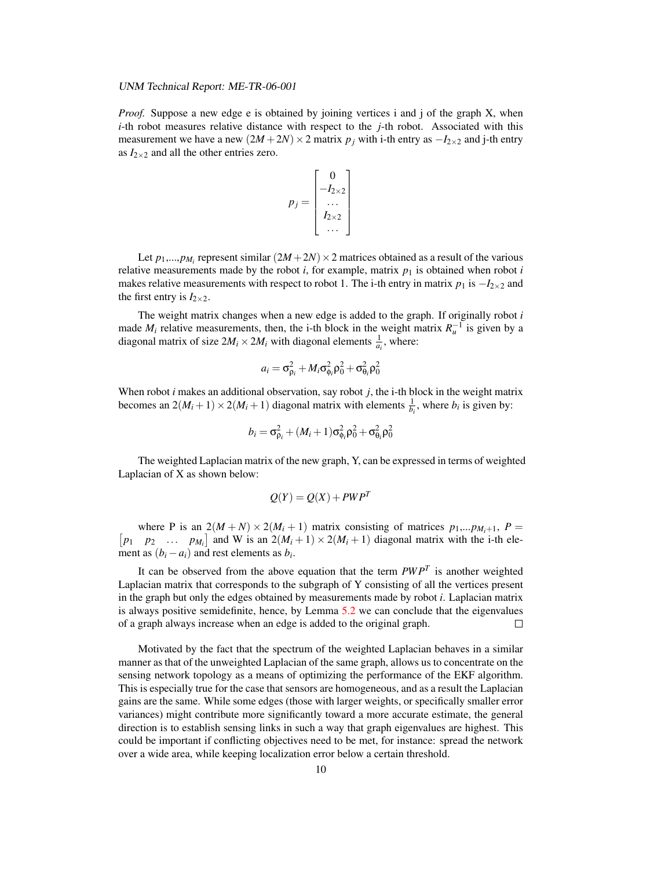*Proof.* Suppose a new edge e is obtained by joining vertices i and j of the graph X, when *i*-th robot measures relative distance with respect to the *j*-th robot. Associated with this measurement we have a new  $(2M + 2N) \times 2$  matrix  $p_j$  with i-th entry as  $-I_{2\times 2}$  and j-th entry as  $I_{2\times 2}$  and all the other entries zero.

$$
p_j = \begin{bmatrix} 0 \\ -I_{2\times 2} \\ \dots \\ I_{2\times 2} \\ \dots \end{bmatrix}
$$

Let  $p_1,...,p_{M_i}$  represent similar  $(2M+2N) \times 2$  matrices obtained as a result of the various relative measurements made by the robot  $i$ , for example, matrix  $p_1$  is obtained when robot  $i$ makes relative measurements with respect to robot 1. The i-th entry in matrix  $p_1$  is  $-I_{2\times 2}$  and the first entry is  $I_{2\times 2}$ .

The weight matrix changes when a new edge is added to the graph. If originally robot *i* made  $M_i$  relative measurements, then, the i-th block in the weight matrix  $R_u^{-1}$  is given by a diagonal matrix of size  $2M_i \times 2M_i$  with diagonal elements  $\frac{1}{a_i}$ , where:

$$
a_i = \sigma_{\rho_i}^2 + M_i \sigma_{\phi_i}^2 \rho_0^2 + \sigma_{\theta_i}^2 \rho_0^2
$$

When robot *i* makes an additional observation, say robot *j*, the i-th block in the weight matrix becomes an  $2(M_i + 1) \times 2(M_i + 1)$  diagonal matrix with elements  $\frac{1}{b_i}$ , where  $b_i$  is given by:

$$
b_i = \sigma_{\rho_i}^2 + (M_i + 1)\sigma_{\phi_i}^2 \rho_0^2 + \sigma_{\theta_i}^2 \rho_0^2
$$

The weighted Laplacian matrix of the new graph, Y, can be expressed in terms of weighted Laplacian of X as shown below:

$$
Q(Y) = Q(X) + PWP^T
$$

where P is an  $2(M+N) \times 2(M_i+1)$  matrix consisting of matrices  $p_1,...p_{M_i+1}$ ,  $P =$   $[p_1 \quad p_2 \quad ... \quad p_M]$  and W is an  $2(M_i+1) \times 2(M_i+1)$  diagonal matrix with the i-th ele $p_1$  *p*<sub>2</sub> ... *p*<sub>*Mi*</sub><sup> $]$ </sup> and W is an 2(*M<sub>i</sub>* + 1) × 2(*M<sub>i</sub>* + 1) diagonal matrix with the i-th element as  $(b_i - a_i)$  and rest elements as  $b_i$ .

It can be observed from the above equation that the term *PW P<sup>T</sup>* is another weighted Laplacian matrix that corresponds to the subgraph of Y consisting of all the vertices present in the graph but only the edges obtained by measurements made by robot *i*. Laplacian matrix is always positive semidefinite, hence, by Lemma [5.2](#page-11-0) we can conclude that the eigenvalues of a graph always increase when an edge is added to the original graph.  $\Box$ 

Motivated by the fact that the spectrum of the weighted Laplacian behaves in a similar manner as that of the unweighted Laplacian of the same graph, allows us to concentrate on the sensing network topology as a means of optimizing the performance of the EKF algorithm. This is especially true for the case that sensors are homogeneous, and as a result the Laplacian gains are the same. While some edges (those with larger weights, or specifically smaller error variances) might contribute more significantly toward a more accurate estimate, the general direction is to establish sensing links in such a way that graph eigenvalues are highest. This could be important if conflicting objectives need to be met, for instance: spread the network over a wide area, while keeping localization error below a certain threshold.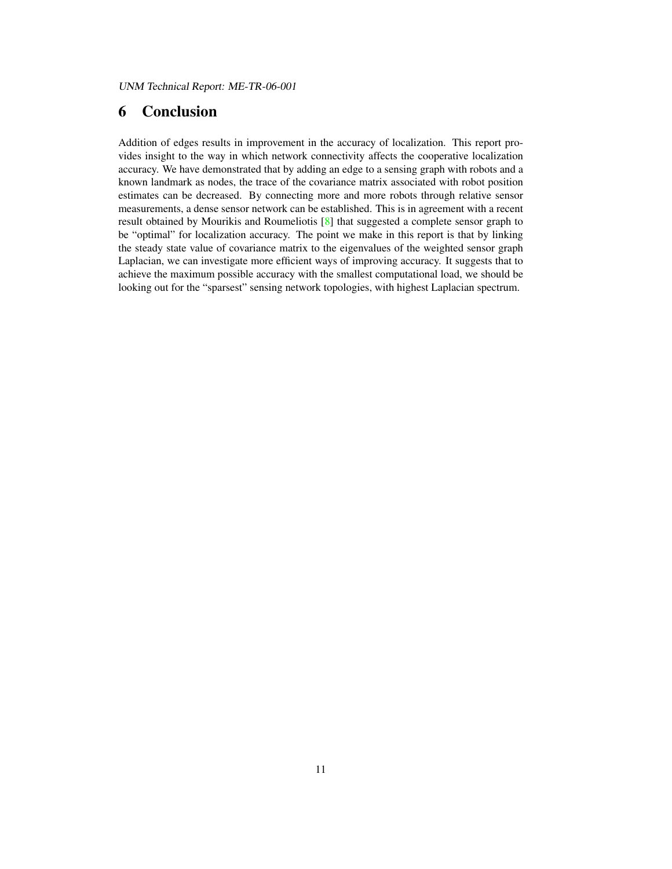### 6 Conclusion

Addition of edges results in improvement in the accuracy of localization. This report provides insight to the way in which network connectivity affects the cooperative localization accuracy. We have demonstrated that by adding an edge to a sensing graph with robots and a known landmark as nodes, the trace of the covariance matrix associated with robot position estimates can be decreased. By connecting more and more robots through relative sensor measurements, a dense sensor network can be established. This is in agreement with a recent result obtained by Mourikis and Roumeliotis [\[8\]](#page-14-16) that suggested a complete sensor graph to be "optimal" for localization accuracy. The point we make in this report is that by linking the steady state value of covariance matrix to the eigenvalues of the weighted sensor graph Laplacian, we can investigate more efficient ways of improving accuracy. It suggests that to achieve the maximum possible accuracy with the smallest computational load, we should be looking out for the "sparsest" sensing network topologies, with highest Laplacian spectrum.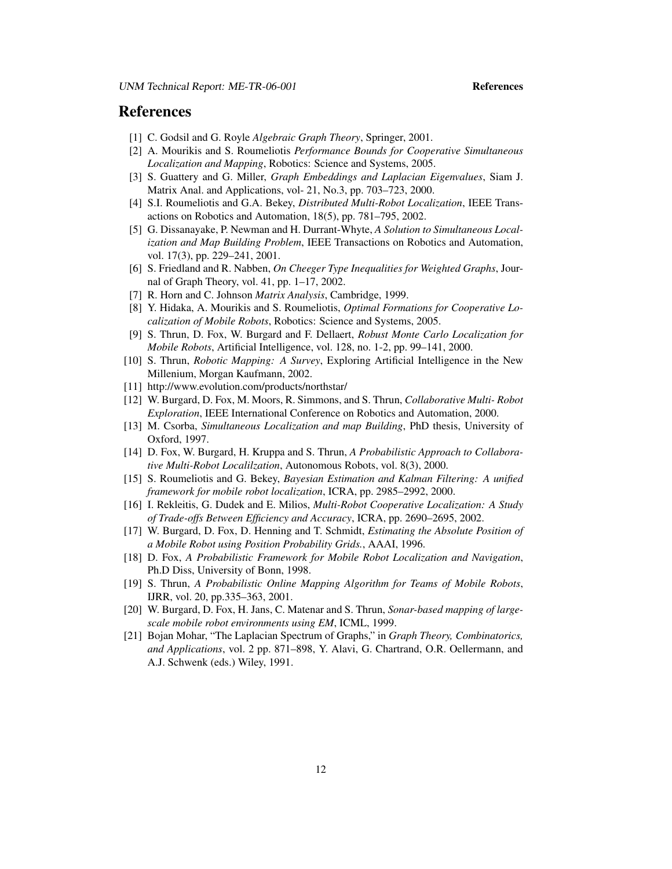#### References

- <span id="page-14-12"></span>[1] C. Godsil and G. Royle *Algebraic Graph Theory*, Springer, 2001.
- <span id="page-14-3"></span>[2] A. Mourikis and S. Roumeliotis *Performance Bounds for Cooperative Simultaneous Localization and Mapping*, Robotics: Science and Systems, 2005.
- <span id="page-14-15"></span>[3] S. Guattery and G. Miller, *Graph Embeddings and Laplacian Eigenvalues*, Siam J. Matrix Anal. and Applications, vol- 21, No.3, pp. 703–723, 2000.
- <span id="page-14-4"></span>[4] S.I. Roumeliotis and G.A. Bekey, *Distributed Multi-Robot Localization*, IEEE Transactions on Robotics and Automation, 18(5), pp. 781–795, 2002.
- <span id="page-14-5"></span>[5] G. Dissanayake, P. Newman and H. Durrant-Whyte, *A Solution to Simultaneous Localization and Map Building Problem*, IEEE Transactions on Robotics and Automation, vol. 17(3), pp. 229–241, 2001.
- [6] S. Friedland and R. Nabben, *On Cheeger Type Inequalities for Weighted Graphs*, Journal of Graph Theory, vol. 41, pp. 1–17, 2002.
- <span id="page-14-13"></span>[7] R. Horn and C. Johnson *Matrix Analysis*, Cambridge, 1999.
- <span id="page-14-16"></span>[8] Y. Hidaka, A. Mourikis and S. Roumeliotis, *Optimal Formations for Cooperative Localization of Mobile Robots*, Robotics: Science and Systems, 2005.
- <span id="page-14-0"></span>[9] S. Thrun, D. Fox, W. Burgard and F. Dellaert, *Robust Monte Carlo Localization for Mobile Robots*, Artificial Intelligence, vol. 128, no. 1-2, pp. 99–141, 2000.
- <span id="page-14-1"></span>[10] S. Thrun, *Robotic Mapping: A Survey*, Exploring Artificial Intelligence in the New Millenium, Morgan Kaufmann, 2002.
- <span id="page-14-2"></span>[11] http://www.evolution.com/products/northstar/
- <span id="page-14-6"></span>[12] W. Burgard, D. Fox, M. Moors, R. Simmons, and S. Thrun, *Collaborative Multi- Robot Exploration*, IEEE International Conference on Robotics and Automation, 2000.
- [13] M. Csorba, *Simultaneous Localization and map Building*, PhD thesis, University of Oxford, 1997.
- [14] D. Fox, W. Burgard, H. Kruppa and S. Thrun, *A Probabilistic Approach to Collaborative Multi-Robot Localilzation*, Autonomous Robots, vol. 8(3), 2000.
- [15] S. Roumeliotis and G. Bekey, *Bayesian Estimation and Kalman Filtering: A unified framework for mobile robot localization*, ICRA, pp. 2985–2992, 2000.
- <span id="page-14-7"></span>[16] I. Rekleitis, G. Dudek and E. Milios, *Multi-Robot Cooperative Localization: A Study of Trade-offs Between Efficiency and Accuracy*, ICRA, pp. 2690–2695, 2002.
- <span id="page-14-9"></span>[17] W. Burgard, D. Fox, D. Henning and T. Schmidt, *Estimating the Absolute Position of a Mobile Robot using Position Probability Grids.*, AAAI, 1996.
- <span id="page-14-8"></span>[18] D. Fox, *A Probabilistic Framework for Mobile Robot Localization and Navigation*, Ph.D Diss, University of Bonn, 1998.
- <span id="page-14-10"></span>[19] S. Thrun, *A Probabilistic Online Mapping Algorithm for Teams of Mobile Robots*, IJRR, vol. 20, pp.335–363, 2001.
- <span id="page-14-11"></span>[20] W. Burgard, D. Fox, H. Jans, C. Matenar and S. Thrun, *Sonar-based mapping of largescale mobile robot environments using EM*, ICML, 1999.
- <span id="page-14-14"></span>[21] Bojan Mohar, "The Laplacian Spectrum of Graphs," in *Graph Theory, Combinatorics, and Applications*, vol. 2 pp. 871–898, Y. Alavi, G. Chartrand, O.R. Oellermann, and A.J. Schwenk (eds.) Wiley, 1991.